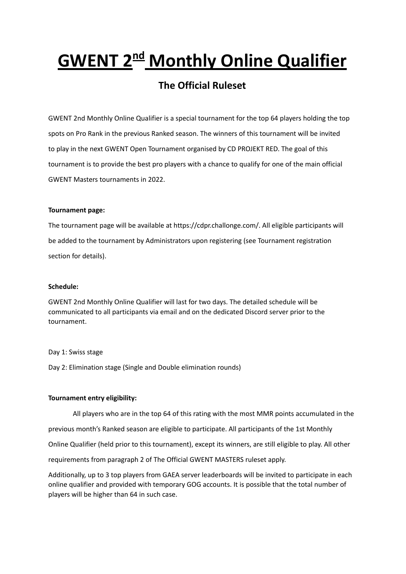# **GWENT 2 nd Monthly Online Qualifier**

## **The Official Ruleset**

GWENT 2nd Monthly Online Qualifier is a special tournament for the top 64 players holding the top spots on Pro Rank in the previous Ranked season. The winners of this tournament will be invited to play in the next GWENT Open Tournament organised by CD PROJEKT RED. The goal of this tournament is to provide the best pro players with a chance to qualify for one of the main official GWENT Masters tournaments in 2022.

### **Tournament page:**

The tournament page will be available at https://cdpr.challonge.com/. All eligible participants will be added to the tournament by Administrators upon registering (see Tournament registration section for details).

#### **Schedule:**

GWENT 2nd Monthly Online Qualifier will last for two days. The detailed schedule will be communicated to all participants via email and on the dedicated Discord server prior to the tournament.

#### Day 1: Swiss stage

Day 2: Elimination stage (Single and Double elimination rounds)

### **Tournament entry eligibility:**

All players who are in the top 64 of this rating with the most MMR points accumulated in the previous month's Ranked season are eligible to participate. All participants of the 1st Monthly Online Qualifier (held prior to this tournament), except its winners, are still eligible to play. All other requirements from paragraph 2 of The Official GWENT MASTERS ruleset apply.

Additionally, up to 3 top players from GAEA server leaderboards will be invited to participate in each online qualifier and provided with temporary GOG accounts. It is possible that the total number of players will be higher than 64 in such case.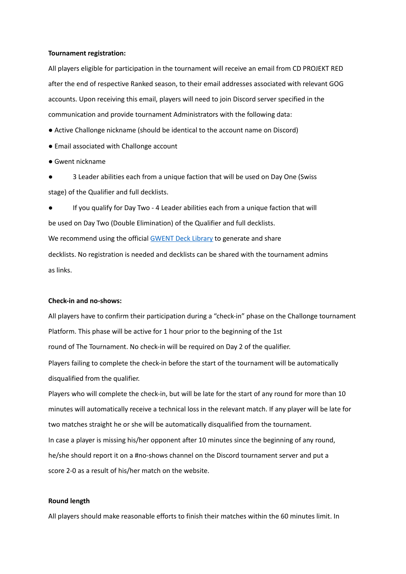#### **Tournament registration:**

All players eligible for participation in the tournament will receive an email from CD PROJEKT RED after the end of respective Ranked season, to their email addresses associated with relevant GOG accounts. Upon receiving this email, players will need to join Discord server specified in the communication and provide tournament Administrators with the following data:

● Active Challonge nickname (should be identical to the account name on Discord)

- Email associated with Challonge account
- Gwent nickname

3 Leader abilities each from a unique faction that will be used on Day One (Swiss stage) of the Qualifier and full decklists.

● If you qualify for Day Two - 4 Leader abilities each from a unique faction that will be used on Day Two (Double Elimination) of the Qualifier and full decklists. We recommend using the official [GWENT](https://www.playgwent.com/en/decks) Deck Library to generate and share decklists. No registration is needed and decklists can be shared with the tournament admins as links.

#### **Check-in and no-shows:**

All players have to confirm their participation during a "check-in" phase on the Challonge tournament Platform. This phase will be active for 1 hour prior to the beginning of the 1st round of The Tournament. No check-in will be required on Day 2 of the qualifier. Players failing to complete the check-in before the start of the tournament will be automatically disqualified from the qualifier.

Players who will complete the check-in, but will be late for the start of any round for more than 10 minutes will automatically receive a technical loss in the relevant match. If any player will be late for two matches straight he or she will be automatically disqualified from the tournament. In case a player is missing his/her opponent after 10 minutes since the beginning of any round, he/she should report it on a #no-shows channel on the Discord tournament server and put a score 2-0 as a result of his/her match on the website.

#### **Round length**

All players should make reasonable efforts to finish their matches within the 60 minutes limit. In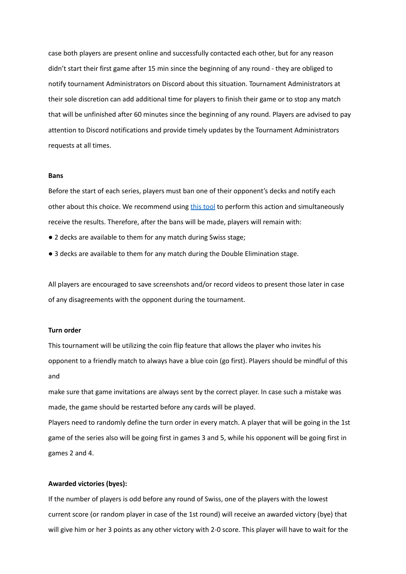case both players are present online and successfully contacted each other, but for any reason didn't start their first game after 15 min since the beginning of any round - they are obliged to notify tournament Administrators on Discord about this situation. Tournament Administrators at their sole discretion can add additional time for players to finish their game or to stop any match that will be unfinished after 60 minutes since the beginning of any round. Players are advised to pay attention to Discord notifications and provide timely updates by the Tournament Administrators requests at all times.

#### **Bans**

Before the start of each series, players must ban one of their opponent's decks and notify each other about this choice. We recommend using this [tool](https://teamaretuza.com/gwent/ban/) to perform this action and simultaneously receive the results. Therefore, after the bans will be made, players will remain with:

- 2 decks are available to them for any match during Swiss stage;
- 3 decks are available to them for any match during the Double Elimination stage.

All players are encouraged to save screenshots and/or record videos to present those later in case of any disagreements with the opponent during the tournament.

#### **Turn order**

This tournament will be utilizing the coin flip feature that allows the player who invites his opponent to a friendly match to always have a blue coin (go first). Players should be mindful of this and

make sure that game invitations are always sent by the correct player. In case such a mistake was made, the game should be restarted before any cards will be played.

Players need to randomly define the turn order in every match. A player that will be going in the 1st game of the series also will be going first in games 3 and 5, while his opponent will be going first in games 2 and 4.

#### **Awarded victories (byes):**

If the number of players is odd before any round of Swiss, one of the players with the lowest current score (or random player in case of the 1st round) will receive an awarded victory (bye) that will give him or her 3 points as any other victory with 2-0 score. This player will have to wait for the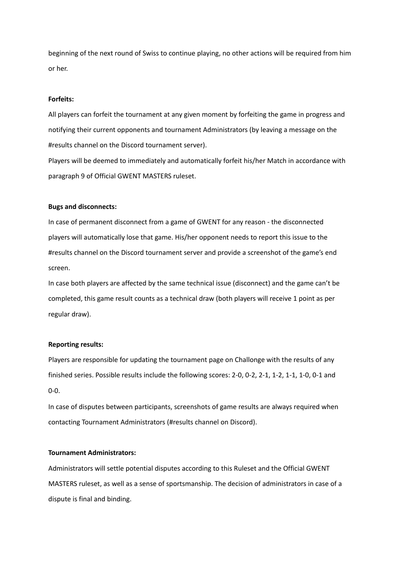beginning of the next round of Swiss to continue playing, no other actions will be required from him or her.

#### **Forfeits:**

All players can forfeit the tournament at any given moment by forfeiting the game in progress and notifying their current opponents and tournament Administrators (by leaving a message on the #results channel on the Discord tournament server).

Players will be deemed to immediately and automatically forfeit his/her Match in accordance with paragraph 9 of Official GWENT MASTERS ruleset.

#### **Bugs and disconnects:**

In case of permanent disconnect from a game of GWENT for any reason - the disconnected players will automatically lose that game. His/her opponent needs to report this issue to the #results channel on the Discord tournament server and provide a screenshot of the game's end screen.

In case both players are affected by the same technical issue (disconnect) and the game can't be completed, this game result counts as a technical draw (both players will receive 1 point as per regular draw).

#### **Reporting results:**

Players are responsible for updating the tournament page on Challonge with the results of any finished series. Possible results include the following scores: 2-0, 0-2, 2-1, 1-2, 1-1, 1-0, 0-1 and 0-0.

In case of disputes between participants, screenshots of game results are always required when contacting Tournament Administrators (#results channel on Discord).

#### **Tournament Administrators:**

Administrators will settle potential disputes according to this Ruleset and the Official GWENT MASTERS ruleset, as well as a sense of sportsmanship. The decision of administrators in case of a dispute is final and binding.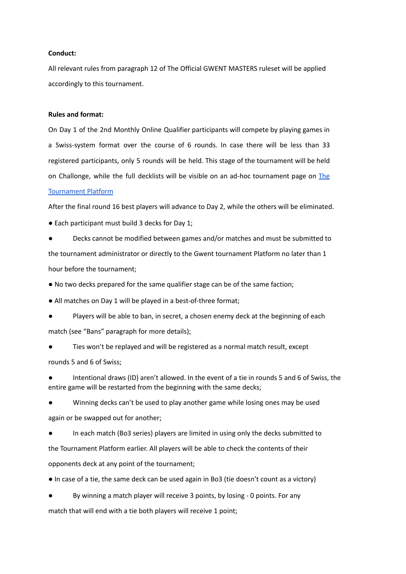#### **Conduct:**

All relevant rules from paragraph 12 of The Official GWENT MASTERS ruleset will be applied accordingly to this tournament.

#### **Rules and format:**

On Day 1 of the 2nd Monthly Online Qualifier participants will compete by playing games in a Swiss-system format over the course of 6 rounds. In case there will be less than 33 registered participants, only 5 rounds will be held. This stage of the tournament will be held on Challonge, while the full decklists will be visible on an ad-hoc tournament page on [The](http://tournaments.playgwent.com/ournaments.playgwent.com/) [Tournament](http://tournaments.playgwent.com/ournaments.playgwent.com/) Platform

After the final round 16 best players will advance to Day 2, while the others will be eliminated.

● Each participant must build 3 decks for Day 1;

Decks cannot be modified between games and/or matches and must be submitted to the tournament administrator or directly to the Gwent tournament Platform no later than 1 hour before the tournament;

● No two decks prepared for the same qualifier stage can be of the same faction;

● All matches on Day 1 will be played in a best-of-three format;

Players will be able to ban, in secret, a chosen enemy deck at the beginning of each match (see "Bans" paragraph for more details);

Ties won't be replayed and will be registered as a normal match result, except rounds 5 and 6 of Swiss;

Intentional draws (ID) aren't allowed. In the event of a tie in rounds 5 and 6 of Swiss, the entire game will be restarted from the beginning with the same decks;

Winning decks can't be used to play another game while losing ones may be used again or be swapped out for another;

In each match (Bo3 series) players are limited in using only the decks submitted to the Tournament Platform earlier. All players will be able to check the contents of their opponents deck at any point of the tournament;

● In case of a tie, the same deck can be used again in Bo3 (tie doesn't count as a victory)

By winning a match player will receive 3 points, by losing - 0 points. For any

match that will end with a tie both players will receive 1 point;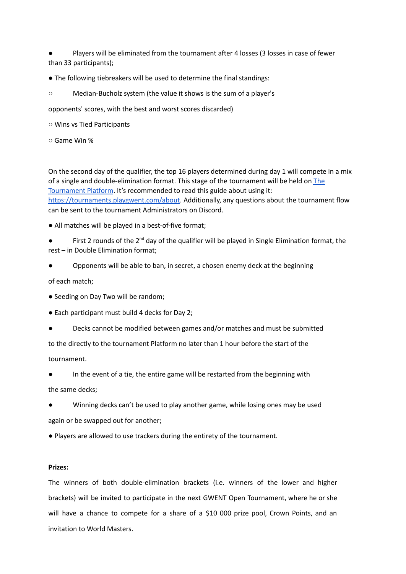Players will be eliminated from the tournament after 4 losses (3 losses in case of fewer than 33 participants);

- The following tiebreakers will be used to determine the final standings:
- Median-Bucholz system (the value it shows is the sum of a player's

opponents' scores, with the best and worst scores discarded)

- Wins vs Tied Participants
- Game Win %

On the second day of the qualifier, the top 16 players determined during day 1 will compete in a mix of a single and double-elimination format. This stage of the tournament will be held on [The](http://tournaments.playgwent.com/ournaments.playgwent.com/) [Tournament](http://tournaments.playgwent.com/ournaments.playgwent.com/) Platform. It's recommended to read this guide about using it: <https://tournaments.playgwent.com/about>. Additionally, any questions about the tournament flow can be sent to the tournament Administrators on Discord.

● All matches will be played in a best-of-five format;

- $\bullet$  First 2 rounds of the 2<sup>nd</sup> day of the qualifier will be played in Single Elimination format, the rest – in Double Elimination format;
- Opponents will be able to ban, in secret, a chosen enemy deck at the beginning

of each match;

- Seeding on Day Two will be random;
- Each participant must build 4 decks for Day 2;
- Decks cannot be modified between games and/or matches and must be submitted

to the directly to the tournament Platform no later than 1 hour before the start of the tournament.

In the event of a tie, the entire game will be restarted from the beginning with the same decks;

Winning decks can't be used to play another game, while losing ones may be used again or be swapped out for another;

● Players are allowed to use trackers during the entirety of the tournament.

### **Prizes:**

The winners of both double-elimination brackets (i.e. winners of the lower and higher brackets) will be invited to participate in the next GWENT Open Tournament, where he or she will have a chance to compete for a share of a \$10 000 prize pool, Crown Points, and an invitation to World Masters.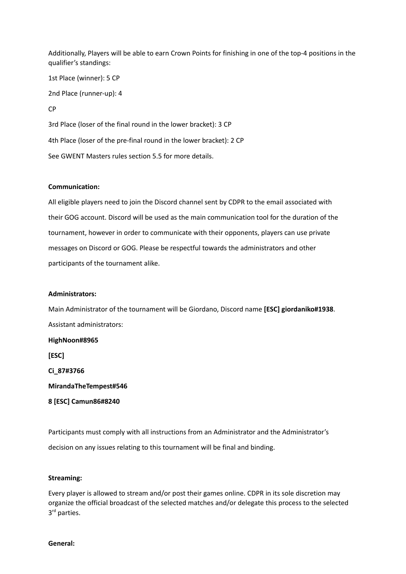Additionally, Players will be able to earn Crown Points for finishing in one of the top-4 positions in the qualifier's standings:

1st Place (winner): 5 CP 2nd Place (runner-up): 4 CP 3rd Place (loser of the final round in the lower bracket): 3 CP 4th Place (loser of the pre-final round in the lower bracket): 2 CP See GWENT Masters rules section 5.5 for more details.

#### **Communication:**

All eligible players need to join the Discord channel sent by CDPR to the email associated with their GOG account. Discord will be used as the main communication tool for the duration of the tournament, however in order to communicate with their opponents, players can use private messages on Discord or GOG. Please be respectful towards the administrators and other participants of the tournament alike.

#### **Administrators:**

Main Administrator of the tournament will be Giordano, Discord name **[ESC] giordaniko#1938**. Assistant administrators: **HighNoon#8965 [ESC] Ci\_87#3766 MirandaTheTempest#546 8 [ESC] Camun86#8240**

Participants must comply with all instructions from an Administrator and the Administrator's decision on any issues relating to this tournament will be final and binding.

#### **Streaming:**

Every player is allowed to stream and/or post their games online. CDPR in its sole discretion may organize the official broadcast of the selected matches and/or delegate this process to the selected 3<sup>rd</sup> parties.